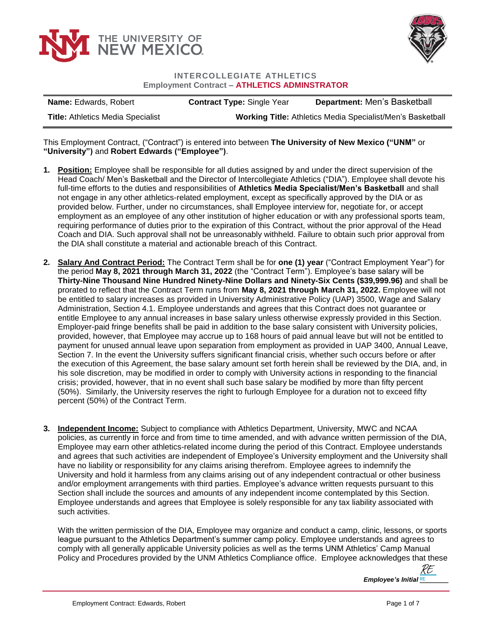



## **INTERCOLLEGIATE ATHLETICS Employment Contract – ATHLETICS ADMINSTRATOR**

| <b>Name:</b> Edwards, Robert             | <b>Contract Type: Single Year</b>                                 | Department: Men's Basketball |
|------------------------------------------|-------------------------------------------------------------------|------------------------------|
| <b>Title: Athletics Media Specialist</b> | <b>Working Title: Athletics Media Specialist/Men's Basketball</b> |                              |

This Employment Contract, ("Contract") is entered into between **The University of New Mexico ("UNM"** or **"University")** and **Robert Edwards ("Employee")**.

- **1. Position:** Employee shall be responsible for all duties assigned by and under the direct supervision of the Head Coach/ Men's Basketball and the Director of Intercollegiate Athletics ("DIA"). Employee shall devote his full-time efforts to the duties and responsibilities of **Athletics Media Specialist/Men's Basketball** and shall not engage in any other athletics-related employment, except as specifically approved by the DIA or as provided below. Further, under no circumstances, shall Employee interview for, negotiate for, or accept employment as an employee of any other institution of higher education or with any professional sports team, requiring performance of duties prior to the expiration of this Contract, without the prior approval of the Head Coach and DIA. Such approval shall not be unreasonably withheld. Failure to obtain such prior approval from the DIA shall constitute a material and actionable breach of this Contract.
- **2. Salary And Contract Period:** The Contract Term shall be for **one (1) year** ("Contract Employment Year") for the period **May 8, 2021 through March 31, 2022** (the "Contract Term"). Employee's base salary will be **Thirty-Nine Thousand Nine Hundred Ninety-Nine Dollars and Ninety-Six Cents (\$39,999.96)** and shall be prorated to reflect that the Contract Term runs from **May 8, 2021 through March 31, 2022.** Employee will not be entitled to salary increases as provided in University Administrative Policy (UAP) 3500, Wage and Salary Administration, Section 4.1. Employee understands and agrees that this Contract does not guarantee or entitle Employee to any annual increases in base salary unless otherwise expressly provided in this Section. Employer-paid fringe benefits shall be paid in addition to the base salary consistent with University policies, provided, however, that Employee may accrue up to 168 hours of paid annual leave but will not be entitled to payment for unused annual leave upon separation from employment as provided in UAP 3400, Annual Leave, Section 7. In the event the University suffers significant financial crisis, whether such occurs before or after the execution of this Agreement, the base salary amount set forth herein shall be reviewed by the DIA, and, in his sole discretion, may be modified in order to comply with University actions in responding to the financial crisis; provided, however, that in no event shall such base salary be modified by more than fifty percent (50%). Similarly, the University reserves the right to furlough Employee for a duration not to exceed fifty percent (50%) of the Contract Term.
- **3. Independent Income:** Subject to compliance with Athletics Department, University, MWC and NCAA policies, as currently in force and from time to time amended, and with advance written permission of the DIA, Employee may earn other athletics-related income during the period of this Contract. Employee understands and agrees that such activities are independent of Employee's University employment and the University shall have no liability or responsibility for any claims arising therefrom. Employee agrees to indemnify the University and hold it harmless from any claims arising out of any independent contractual or other business and/or employment arrangements with third parties. Employee's advance written requests pursuant to this Section shall include the sources and amounts of any independent income contemplated by this Section. Employee understands and agrees that Employee is solely responsible for any tax liability associated with such activities.

With the written permission of the DIA, Employee may organize and conduct a camp, clinic, lessons, or sports league pursuant to the Athletics Department's summer camp policy. Employee understands and agrees to comply with all generally applicable University policies as well as the terms UNM Athletics' Camp Manual Policy and Procedures provided by the UNM Athletics Compliance office. Employee acknowledges that these

> *Employee's Initial [\\_\\_\\_\\_\\_\\_\\_\\_](https://secure.na2.echosign.com/verifier?tx=CBJCHBCAABAAGhQuo4tqv-8kGg4srzToocm3fxDdHJmS)* RE RE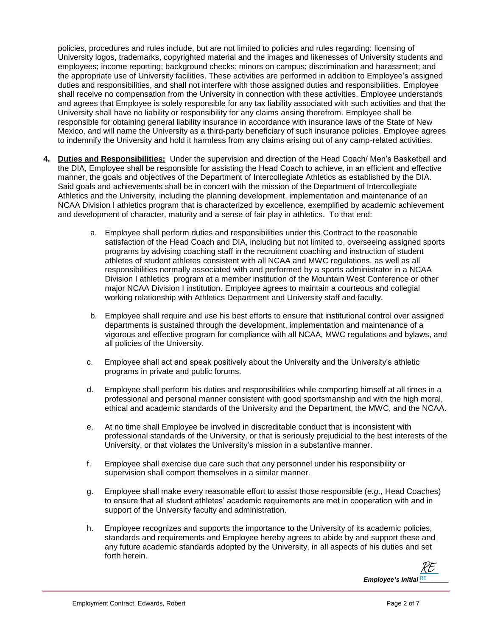policies, procedures and rules include, but are not limited to policies and rules regarding: licensing of University logos, trademarks, copyrighted material and the images and likenesses of University students and employees; income reporting; background checks; minors on campus; discrimination and harassment; and the appropriate use of University facilities. These activities are performed in addition to Employee's assigned duties and responsibilities, and shall not interfere with those assigned duties and responsibilities. Employee shall receive no compensation from the University in connection with these activities. Employee understands and agrees that Employee is solely responsible for any tax liability associated with such activities and that the University shall have no liability or responsibility for any claims arising therefrom. Employee shall be responsible for obtaining general liability insurance in accordance with insurance laws of the State of New Mexico, and will name the University as a third-party beneficiary of such insurance policies. Employee agrees to indemnify the University and hold it harmless from any claims arising out of any camp-related activities.

- **4. Duties and Responsibilities:** Under the supervision and direction of the Head Coach/ Men's Basketball and the DIA, Employee shall be responsible for assisting the Head Coach to achieve, in an efficient and effective manner, the goals and objectives of the Department of Intercollegiate Athletics as established by the DIA. Said goals and achievements shall be in concert with the mission of the Department of Intercollegiate Athletics and the University, including the planning development, implementation and maintenance of an NCAA Division I athletics program that is characterized by excellence, exemplified by academic achievement and development of character, maturity and a sense of fair play in athletics. To that end:
	- a. Employee shall perform duties and responsibilities under this Contract to the reasonable satisfaction of the Head Coach and DIA, including but not limited to, overseeing assigned sports programs by advising coaching staff in the recruitment coaching and instruction of student athletes of student athletes consistent with all NCAA and MWC regulations, as well as all responsibilities normally associated with and performed by a sports administrator in a NCAA Division I athletics program at a member institution of the Mountain West Conference or other major NCAA Division I institution. Employee agrees to maintain a courteous and collegial working relationship with Athletics Department and University staff and faculty.
	- b. Employee shall require and use his best efforts to ensure that institutional control over assigned departments is sustained through the development, implementation and maintenance of a vigorous and effective program for compliance with all NCAA, MWC regulations and bylaws, and all policies of the University.
	- c. Employee shall act and speak positively about the University and the University's athletic programs in private and public forums.
	- d. Employee shall perform his duties and responsibilities while comporting himself at all times in a professional and personal manner consistent with good sportsmanship and with the high moral, ethical and academic standards of the University and the Department, the MWC, and the NCAA.
	- e. At no time shall Employee be involved in discreditable conduct that is inconsistent with professional standards of the University, or that is seriously prejudicial to the best interests of the University, or that violates the University's mission in a substantive manner.
	- f. Employee shall exercise due care such that any personnel under his responsibility or supervision shall comport themselves in a similar manner.
	- g. Employee shall make every reasonable effort to assist those responsible (*e.g.,* Head Coaches) to ensure that all student athletes' academic requirements are met in cooperation with and in support of the University faculty and administration.
	- h. Employee recognizes and supports the importance to the University of its academic policies, standards and requirements and Employee hereby agrees to abide by and support these and any future academic standards adopted by the University, in all aspects of his duties and set forth herein.

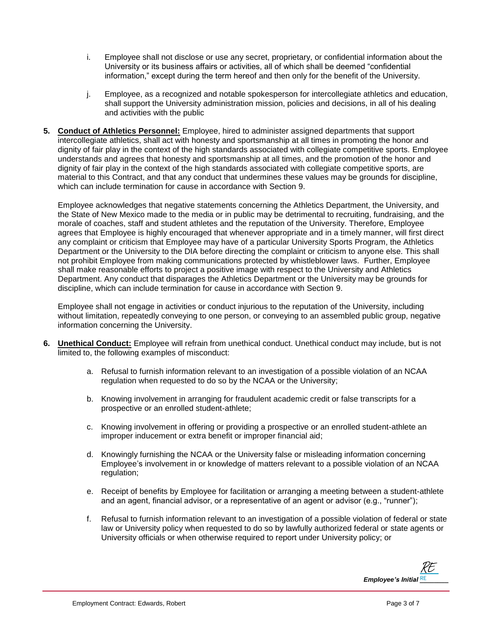- i. Employee shall not disclose or use any secret, proprietary, or confidential information about the University or its business affairs or activities, all of which shall be deemed "confidential information," except during the term hereof and then only for the benefit of the University.
- j. Employee, as a recognized and notable spokesperson for intercollegiate athletics and education, shall support the University administration mission, policies and decisions, in all of his dealing and activities with the public
- **5. Conduct of Athletics Personnel:** Employee, hired to administer assigned departments that support intercollegiate athletics, shall act with honesty and sportsmanship at all times in promoting the honor and dignity of fair play in the context of the high standards associated with collegiate competitive sports. Employee understands and agrees that honesty and sportsmanship at all times, and the promotion of the honor and dignity of fair play in the context of the high standards associated with collegiate competitive sports, are material to this Contract, and that any conduct that undermines these values may be grounds for discipline, which can include termination for cause in accordance with Section 9.

Employee acknowledges that negative statements concerning the Athletics Department, the University, and the State of New Mexico made to the media or in public may be detrimental to recruiting, fundraising, and the morale of coaches, staff and student athletes and the reputation of the University. Therefore, Employee agrees that Employee is highly encouraged that whenever appropriate and in a timely manner, will first direct any complaint or criticism that Employee may have of a particular University Sports Program, the Athletics Department or the University to the DIA before directing the complaint or criticism to anyone else. This shall not prohibit Employee from making communications protected by whistleblower laws. Further, Employee shall make reasonable efforts to project a positive image with respect to the University and Athletics Department. Any conduct that disparages the Athletics Department or the University may be grounds for discipline, which can include termination for cause in accordance with Section 9.

Employee shall not engage in activities or conduct injurious to the reputation of the University, including without limitation, repeatedly conveying to one person, or conveying to an assembled public group, negative information concerning the University.

- **6. Unethical Conduct:** Employee will refrain from unethical conduct. Unethical conduct may include, but is not limited to, the following examples of misconduct:
	- a. Refusal to furnish information relevant to an investigation of a possible violation of an NCAA regulation when requested to do so by the NCAA or the University;
	- b. Knowing involvement in arranging for fraudulent academic credit or false transcripts for a prospective or an enrolled student-athlete;
	- c. Knowing involvement in offering or providing a prospective or an enrolled student-athlete an improper inducement or extra benefit or improper financial aid;
	- d. Knowingly furnishing the NCAA or the University false or misleading information concerning Employee's involvement in or knowledge of matters relevant to a possible violation of an NCAA regulation;
	- e. Receipt of benefits by Employee for facilitation or arranging a meeting between a student-athlete and an agent, financial advisor, or a representative of an agent or advisor (e.g., "runner");
	- f. Refusal to furnish information relevant to an investigation of a possible violation of federal or state law or University policy when requested to do so by lawfully authorized federal or state agents or University officials or when otherwise required to report under University policy; or

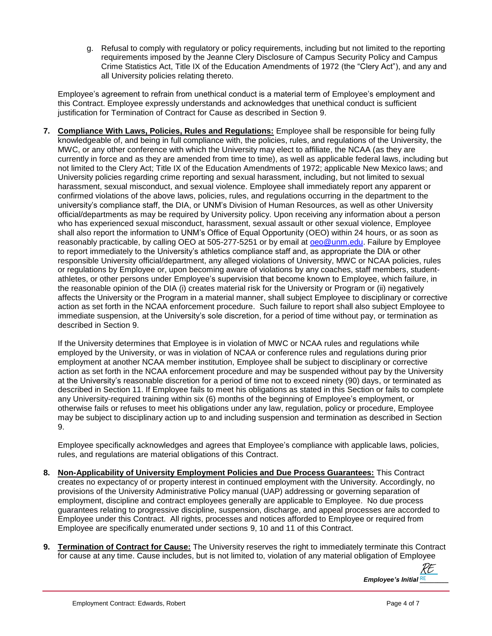g. Refusal to comply with regulatory or policy requirements, including but not limited to the reporting requirements imposed by the Jeanne Clery Disclosure of Campus Security Policy and Campus Crime Statistics Act, Title IX of the Education Amendments of 1972 (the "Clery Act"), and any and all University policies relating thereto.

Employee's agreement to refrain from unethical conduct is a material term of Employee's employment and this Contract. Employee expressly understands and acknowledges that unethical conduct is sufficient justification for Termination of Contract for Cause as described in Section 9.

**7. Compliance With Laws, Policies, Rules and Regulations:** Employee shall be responsible for being fully knowledgeable of, and being in full compliance with, the policies, rules, and regulations of the University, the MWC, or any other conference with which the University may elect to affiliate, the NCAA (as they are currently in force and as they are amended from time to time), as well as applicable federal laws, including but not limited to the Clery Act; Title IX of the Education Amendments of 1972; applicable New Mexico laws; and University policies regarding crime reporting and sexual harassment, including, but not limited to sexual harassment, sexual misconduct, and sexual violence. Employee shall immediately report any apparent or confirmed violations of the above laws, policies, rules, and regulations occurring in the department to the university's compliance staff, the DIA, or UNM's Division of Human Resources, as well as other University official/departments as may be required by University policy. Upon receiving any information about a person who has experienced sexual misconduct, harassment, sexual assault or other sexual violence, Employee shall also report the information to UNM's Office of Equal Opportunity (OEO) within 24 hours, or as soon as reasonably practicable, by calling OEO at 505-277-5251 or by email at [oeo@unm.edu.](mailto:oeo@unm.edu) Failure by Employee to report immediately to the University's athletics compliance staff and, as appropriate the DIA or other responsible University official/department, any alleged violations of University, MWC or NCAA policies, rules or regulations by Employee or, upon becoming aware of violations by any coaches, staff members, studentathletes, or other persons under Employee's supervision that become known to Employee, which failure, in the reasonable opinion of the DIA (i) creates material risk for the University or Program or (ii) negatively affects the University or the Program in a material manner, shall subject Employee to disciplinary or corrective action as set forth in the NCAA enforcement procedure. Such failure to report shall also subject Employee to immediate suspension, at the University's sole discretion, for a period of time without pay, or termination as described in Section 9.

If the University determines that Employee is in violation of MWC or NCAA rules and regulations while employed by the University, or was in violation of NCAA or conference rules and regulations during prior employment at another NCAA member institution, Employee shall be subject to disciplinary or corrective action as set forth in the NCAA enforcement procedure and may be suspended without pay by the University at the University's reasonable discretion for a period of time not to exceed ninety (90) days, or terminated as described in Section 11. If Employee fails to meet his obligations as stated in this Section or fails to complete any University-required training within six (6) months of the beginning of Employee's employment, or otherwise fails or refuses to meet his obligations under any law, regulation, policy or procedure, Employee may be subject to disciplinary action up to and including suspension and termination as described in Section 9.

Employee specifically acknowledges and agrees that Employee's compliance with applicable laws, policies, rules, and regulations are material obligations of this Contract.

- **8. Non-Applicability of University Employment Policies and Due Process Guarantees:** This Contract creates no expectancy of or property interest in continued employment with the University. Accordingly, no provisions of the University Administrative Policy manual (UAP) addressing or governing separation of employment, discipline and contract employees generally are applicable to Employee. No due process guarantees relating to progressive discipline, suspension, discharge, and appeal processes are accorded to Employee under this Contract. All rights, processes and notices afforded to Employee or required from Employee are specifically enumerated under sections 9, 10 and 11 of this Contract.
- **9. Termination of Contract for Cause:** The University reserves the right to immediately terminate this Contract for cause at any time. Cause includes, but is not limited to, violation of any material obligation of Employee

*Employee's Initial RE* [RE](https://secure.na2.echosign.com/verifier?tx=CBJCHBCAABAAGhQuo4tqv-8kGg4srzToocm3fxDdHJmS)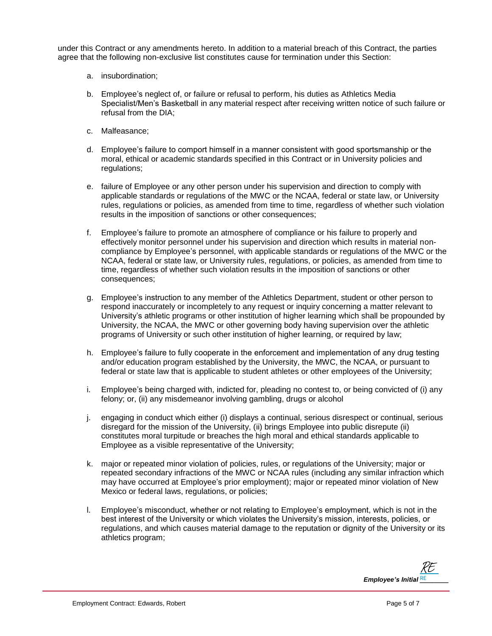under this Contract or any amendments hereto. In addition to a material breach of this Contract, the parties agree that the following non-exclusive list constitutes cause for termination under this Section:

- a. insubordination;
- b. Employee's neglect of, or failure or refusal to perform, his duties as Athletics Media Specialist/Men's Basketball in any material respect after receiving written notice of such failure or refusal from the DIA;
- c. Malfeasance;
- d. Employee's failure to comport himself in a manner consistent with good sportsmanship or the moral, ethical or academic standards specified in this Contract or in University policies and regulations;
- e. failure of Employee or any other person under his supervision and direction to comply with applicable standards or regulations of the MWC or the NCAA, federal or state law, or University rules, regulations or policies, as amended from time to time, regardless of whether such violation results in the imposition of sanctions or other consequences;
- f. Employee's failure to promote an atmosphere of compliance or his failure to properly and effectively monitor personnel under his supervision and direction which results in material noncompliance by Employee's personnel, with applicable standards or regulations of the MWC or the NCAA, federal or state law, or University rules, regulations, or policies, as amended from time to time, regardless of whether such violation results in the imposition of sanctions or other consequences;
- g. Employee's instruction to any member of the Athletics Department, student or other person to respond inaccurately or incompletely to any request or inquiry concerning a matter relevant to University's athletic programs or other institution of higher learning which shall be propounded by University, the NCAA, the MWC or other governing body having supervision over the athletic programs of University or such other institution of higher learning, or required by law;
- h. Employee's failure to fully cooperate in the enforcement and implementation of any drug testing and/or education program established by the University, the MWC, the NCAA, or pursuant to federal or state law that is applicable to student athletes or other employees of the University;
- i. Employee's being charged with, indicted for, pleading no contest to, or being convicted of (i) any felony; or, (ii) any misdemeanor involving gambling, drugs or alcohol
- j. engaging in conduct which either (i) displays a continual, serious disrespect or continual, serious disregard for the mission of the University, (ii) brings Employee into public disrepute (ii) constitutes moral turpitude or breaches the high moral and ethical standards applicable to Employee as a visible representative of the University;
- k. major or repeated minor violation of policies, rules, or regulations of the University; major or repeated secondary infractions of the MWC or NCAA rules (including any similar infraction which may have occurred at Employee's prior employment); major or repeated minor violation of New Mexico or federal laws, regulations, or policies;
- l. Employee's misconduct, whether or not relating to Employee's employment, which is not in the best interest of the University or which violates the University's mission, interests, policies, or regulations, and which causes material damage to the reputation or dignity of the University or its athletics program;

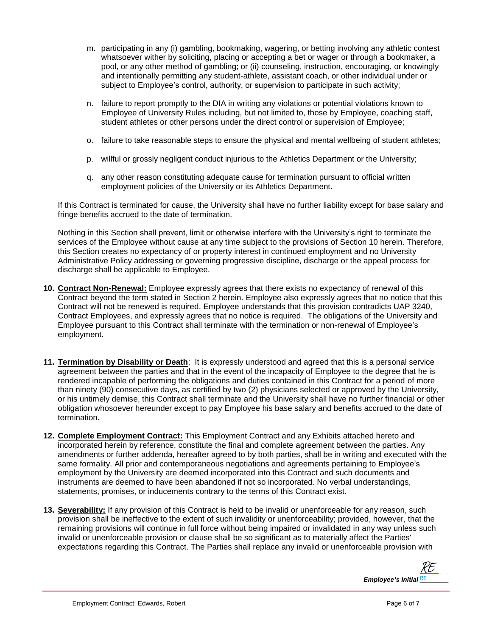- m. participating in any (i) gambling, bookmaking, wagering, or betting involving any athletic contest whatsoever wither by soliciting, placing or accepting a bet or wager or through a bookmaker, a pool, or any other method of gambling; or (ii) counseling, instruction, encouraging, or knowingly and intentionally permitting any student-athlete, assistant coach, or other individual under or subject to Employee's control, authority, or supervision to participate in such activity;
- n. failure to report promptly to the DIA in writing any violations or potential violations known to Employee of University Rules including, but not limited to, those by Employee, coaching staff, student athletes or other persons under the direct control or supervision of Employee;
- o. failure to take reasonable steps to ensure the physical and mental wellbeing of student athletes;
- p. willful or grossly negligent conduct injurious to the Athletics Department or the University;
- q. any other reason constituting adequate cause for termination pursuant to official written employment policies of the University or its Athletics Department.

If this Contract is terminated for cause, the University shall have no further liability except for base salary and fringe benefits accrued to the date of termination.

Nothing in this Section shall prevent, limit or otherwise interfere with the University's right to terminate the services of the Employee without cause at any time subject to the provisions of Section 10 herein. Therefore, this Section creates no expectancy of or property interest in continued employment and no University Administrative Policy addressing or governing progressive discipline, discharge or the appeal process for discharge shall be applicable to Employee.

- **10. Contract Non-Renewal:** Employee expressly agrees that there exists no expectancy of renewal of this Contract beyond the term stated in Section 2 herein. Employee also expressly agrees that no notice that this Contract will not be renewed is required. Employee understands that this provision contradicts UAP 3240, Contract Employees, and expressly agrees that no notice is required. The obligations of the University and Employee pursuant to this Contract shall terminate with the termination or non-renewal of Employee's employment.
- **11. Termination by Disability or Death**: It is expressly understood and agreed that this is a personal service agreement between the parties and that in the event of the incapacity of Employee to the degree that he is rendered incapable of performing the obligations and duties contained in this Contract for a period of more than ninety (90) consecutive days, as certified by two (2) physicians selected or approved by the University, or his untimely demise, this Contract shall terminate and the University shall have no further financial or other obligation whosoever hereunder except to pay Employee his base salary and benefits accrued to the date of termination.
- **12. Complete Employment Contract:** This Employment Contract and any Exhibits attached hereto and incorporated herein by reference, constitute the final and complete agreement between the parties. Any amendments or further addenda, hereafter agreed to by both parties, shall be in writing and executed with the same formality. All prior and contemporaneous negotiations and agreements pertaining to Employee's employment by the University are deemed incorporated into this Contract and such documents and instruments are deemed to have been abandoned if not so incorporated. No verbal understandings, statements, promises, or inducements contrary to the terms of this Contract exist.
- **13. Severability:** If any provision of this Contract is held to be invalid or unenforceable for any reason, such provision shall be ineffective to the extent of such invalidity or unenforceability; provided, however, that the remaining provisions will continue in full force without being impaired or invalidated in any way unless such invalid or unenforceable provision or clause shall be so significant as to materially affect the Parties' expectations regarding this Contract. The Parties shall replace any invalid or unenforceable provision with